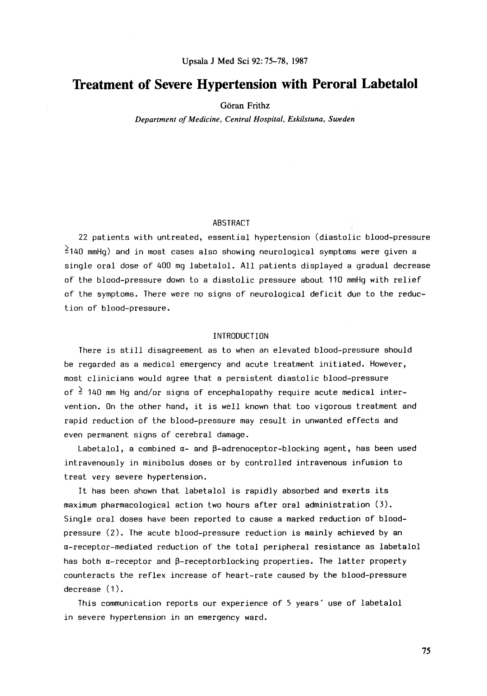# **Treatment of Severe Hypertension with Peroral Labetalol**

Goran **Frithz** 

*Department of Medicine, Central Hospital, Eskilstuna, Sweden* 

### ABSTRACT

22 patients with untreated, essential hypertension (diastolic blood-pressure  $2140$  mmHq) and in most cases also showing neurological symptoms were given a single oral dose of *400* mg labetalol. **All** patients displayed a gradual decrease of the blood-pressure down to a diastolic pressure about 110 mmHg with relief of the symptoms. There were no signs of neurological deficit due to the reduction of blood-pressure.

## INTRODUCTION

There is still disagreement as to when an elevated blood-pressure should be regarded as a medical emergency and acute treatment initiated. However, most clinicians would agree that a persistent diastolic blood-pressure of  $\frac{2}{3}$  140 mm Hg and/or signs of encephalopathy require acute medical intervention. On the other hand, it **is** well known that too vigorous treatment and rapid reduction of the blood-pressure may result in unwanted effects and even permanent signs of cerebral damage.

Labetalol, a combined  $\alpha$ - and  $\beta$ -adrenoceptor-blocking agent, has been used intravenously in minibolus doses **or** by controlled intravenous infusion to treat very severe hypertension.

It has been shown that labetalol is rapidly absorbed and exerts its maximum pharmacological action two hours after oral administration (3). Single oral doses have been reported to cause a marked reduction *of* bloodpressure *(2).* The acute blood-pressure reduction **is** mainly achieved by an a-receptor-mediated reduction of the total peripheral resistance as labetalol has both  $\alpha$ -receptor and  $\beta$ -receptorblocking properties. The latter property counteracts the reflex increase of heart-rate caused by the blood-pressure decrease  $(1)$ .

This communication reports our experience *of* 5 years' use *of* labetalol in severe hypertension in an emergency ward.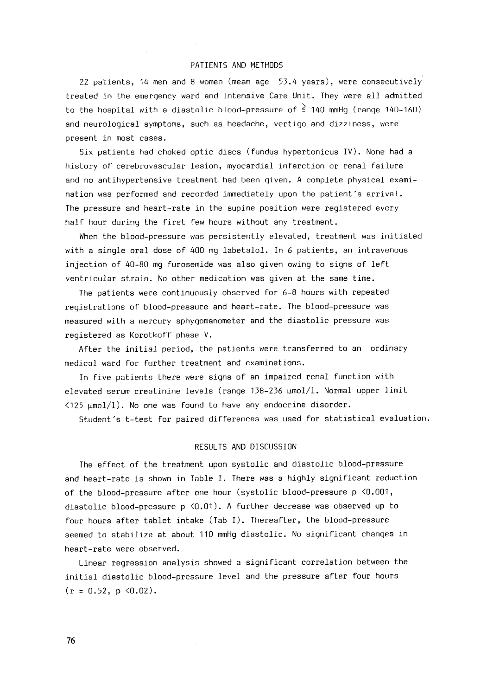#### PATIENTS AND METHODS

22 patients, 14 men and 8 women (mean age  $53.4$  years), were consecutively treated in the emergency ward and Intensive Care Unit. They were all admitted to the hospital with a diastolic blood-pressure of **2** 140 mmHg (range 140-160) and neurological symptoms, such as headache, vertigo and dizziness, were present in most cases.

Six patients had choked optic discs (fundus hypertonicus IV). None had a history of cerebrovascular lesion, myocardial infarction or renal failure and no antihypertensive treatment had been given. A complete physical examination was performed and recorded immediately upon the patient's arrival. The pressure and heart-rate in the supine position were registered every half hour during the first few hours without any treatment.

When the blood-pressure was persistently elevated, treatment was initiated with a single oral dose of *400* mg labetalol. In *6* patients, an intravenous injection of 40-80 mg furosemide was also given owing to signs of left ventricular strain. No other medication was given at the same time.

The patients were continuously observed for 6-8 hours with repeated registrations of blood-pressure and heart-rate. The blood-pressure was measured with a mercury sphygomanometer and the diastolic pressure was registered as Korotkoff phase **V.** 

After the initial period, the patients were transferred to an ordinary medical ward for further treatment and examinations.

In five patients there were signs of an impaired renal function with elevated serum creatinine levels (range  $138-236$   $\mu$ mol/l. Normal upper limit  $\langle 125 \text{ }\mu\text{mol}/1)$ . No one was found to have any endocrine disorder.

Student's t-test for paired differences was used for statistical evaluation.

#### RESULTS AND DISCUSSION

The effect of the treatment upon systolic and diastolic blood-pressure and heart-rate is shown in Table I. There was a highly significant reduction of the blood-pressure after one hour (systolic blood-pressure  $p \le 0.001$ , diastolic blood-pressure p <0.01). **A** further decrease was observed up to four hours after tablet intake (Tab I). Thereafter, the blood-pressure seemed to stabilize at about 110 mmHg diastolic. No significant changes in heart-rate were observed.

Linear regression analysis showed a significant correlation between the initial diastolic blood-pressure level and the pressure after four hours **(r** = 0.52, p <0.02).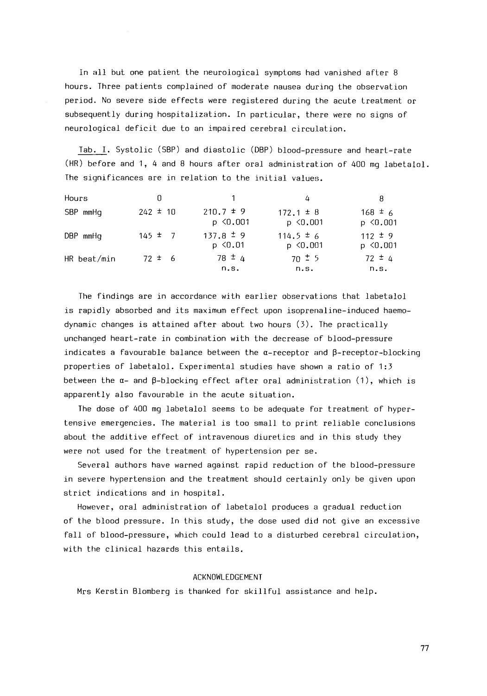In all but one patient the neurological symptoms had vanished after 8 hours. Three patients complained of moderate nausea during the observation period. No severe side effects were registered during the acute treatment or subsequently during hospitalization. In particular, there were no signs of neurological deficit due to an impaired cerebral circulation.

Tab. I. Systolic (SBP) and diastolic (DBP) blood-pressure and heart-rate (HR) before and 1, 4 and *8* hours after oral administration of *400* mg labetalol. The significances are in relation to the initial values.

| Hours         | 0            |                                | 4                              | 8                            |
|---------------|--------------|--------------------------------|--------------------------------|------------------------------|
| SBP mmHa      | $242 \pm 10$ | $210.7 \pm 9$<br>$p \le 0.001$ | $172.1 \pm 8$<br>$p \le 0.001$ | $168 \pm 6$<br>$p \le 0.001$ |
| DBP mmHq      | $145 \pm 7$  | $137.8 \pm 9$<br>$p \le 0.01$  | $114.5 \pm 6$<br>$p \le 0.001$ | $112 \pm 9$<br>$p \le 0.001$ |
| $HR$ beat/min | $72 \pm 6$   | $78 \pm 4$<br>n.s.             | $70 \pm 5$<br>n.s.             | $72 \pm 4$<br>n.s.           |

The findings are in accordance with earlier observations that labetalol **is** rapidly absorbed and its maximum effect upon isoprenaline-induced haemodynamic changes *is* attained after about two hours *(3).* The practically unchanged heart-rate in combination with the decrease of blood-pressure indicates a favourable balance between the  $\alpha$ -receptor and  $\beta$ -receptor-blocking properties of labetalol. Experimental studies have shown a ratio of *1:3*  between the  $\alpha$ - and  $\beta$ -blocking effect after oral administration  $(1)$ , which is apparently also favourable in the acute situation.

The dose of *400* mg labetalol seems to be adequate for treatment of hypertensive emergencies. The material *is* too small to print reliable conclusions about the additive effect of intravenous diuretics and in this study they were not used for the treatment of hypertension per se.

Several authors have warned against rapid reduction of the blood-pressure in severe hypertension and the treatment should certainly only be given upon strict indications and in hospital.

However, **oral** administration of labetalol produces a gradual reduction of the blood pressure. In **this** study, the dose used did not give an excessive fall of blood-pressure, which could lead to a disturbed cerebral circulation, with the clinical hazards this entails.

#### ACKNOWLEDGEMENT

Mrs Kerstin Blomberg **is** thanked for skillful assistance and help.